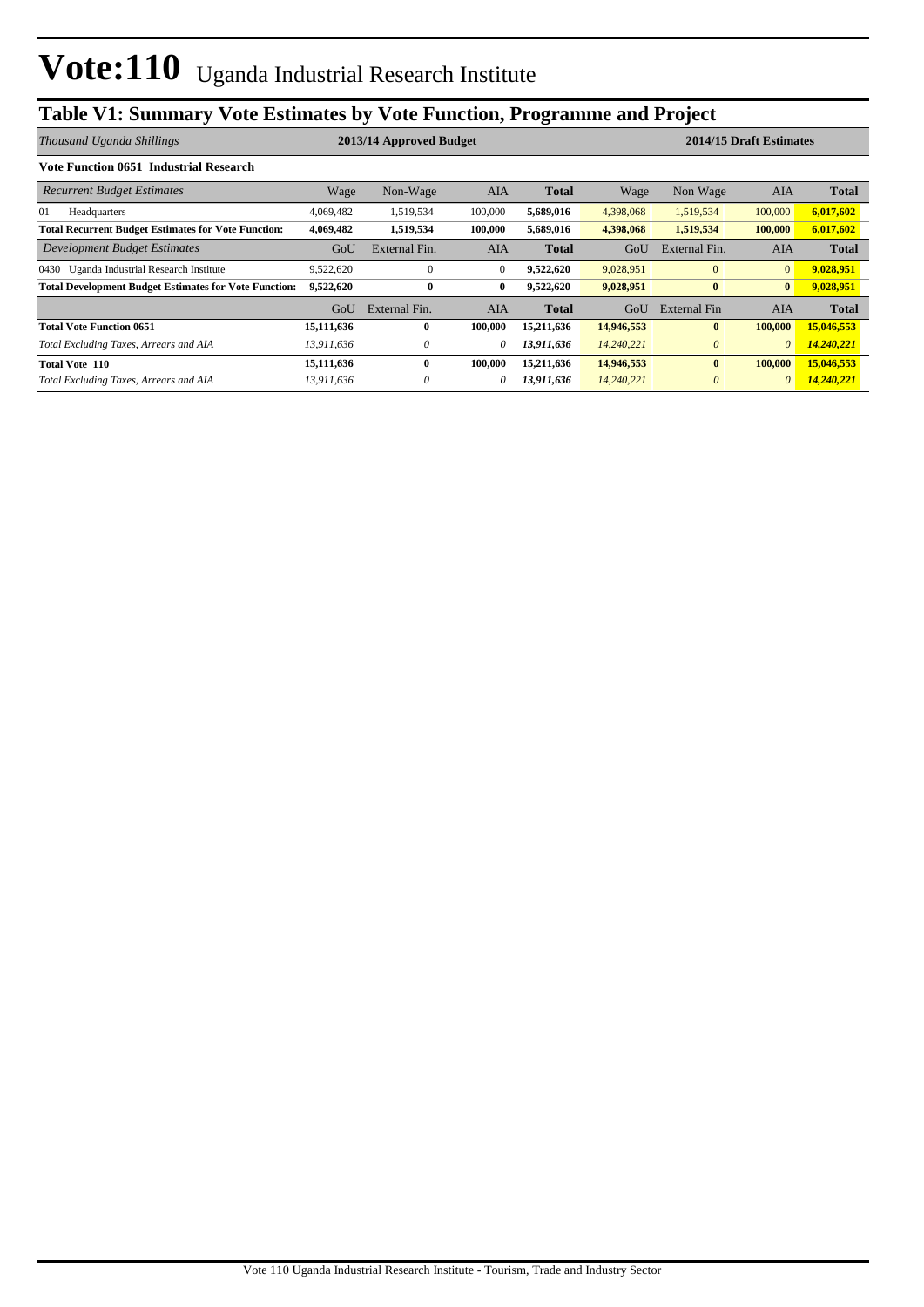# **Table V1: Summary Vote Estimates by Vote Function, Programme and Project**

| Thousand Uganda Shillings                                    |            | 2013/14 Approved Budget |            |              | 2014/15 Draft Estimates |               |                |              |  |
|--------------------------------------------------------------|------------|-------------------------|------------|--------------|-------------------------|---------------|----------------|--------------|--|
| Vote Function 0651 Industrial Research                       |            |                         |            |              |                         |               |                |              |  |
| <b>Recurrent Budget Estimates</b>                            | Wage       | Non-Wage                | AIA        | <b>Total</b> | Wage                    | Non Wage      | AIA            | <b>Total</b> |  |
| 01<br>Headquarters                                           | 4,069,482  | 1,519,534               | 100,000    | 5,689,016    | 4,398,068               | 1,519,534     | 100,000        | 6,017,602    |  |
| <b>Total Recurrent Budget Estimates for Vote Function:</b>   | 4,069,482  | 1,519,534               | 100,000    | 5,689,016    | 4,398,068               | 1,519,534     | 100,000        | 6,017,602    |  |
| Development Budget Estimates                                 | GoU        | External Fin.           | <b>AIA</b> | <b>Total</b> | GoU                     | External Fin. | <b>AIA</b>     | <b>Total</b> |  |
| 0430 Uganda Industrial Research Institute                    | 9,522,620  | $\theta$                | $\theta$   | 9,522,620    | 9,028,951               | $\mathbf{0}$  | $\overline{0}$ | 9,028,951    |  |
| <b>Total Development Budget Estimates for Vote Function:</b> | 9,522,620  | $\bf{0}$                | 0          | 9,522,620    | 9,028,951               | $\bf{0}$      | $\bf{0}$       | 9,028,951    |  |
|                                                              | GoU        | External Fin.           | AIA        | <b>Total</b> | GoU                     | External Fin  | AIA            | <b>Total</b> |  |
| <b>Total Vote Function 0651</b>                              | 15,111,636 | $\mathbf{0}$            | 100,000    | 15,211,636   | 14,946,553              | $\mathbf{0}$  | 100,000        | 15,046,553   |  |
| Total Excluding Taxes, Arrears and AIA                       | 13,911,636 | 0                       | 0          | 13,911,636   | 14,240,221              | $\theta$      | $\theta$       | 14,240,221   |  |
| <b>Total Vote 110</b>                                        | 15,111,636 | $\mathbf{0}$            | 100,000    | 15,211,636   | 14,946,553              | $\mathbf{0}$  | 100,000        | 15,046,553   |  |
| Total Excluding Taxes, Arrears and AIA                       | 13,911,636 | $\theta$                | 0          | 13,911,636   | 14,240,221              | $\theta$      | $\theta$       | 14,240,221   |  |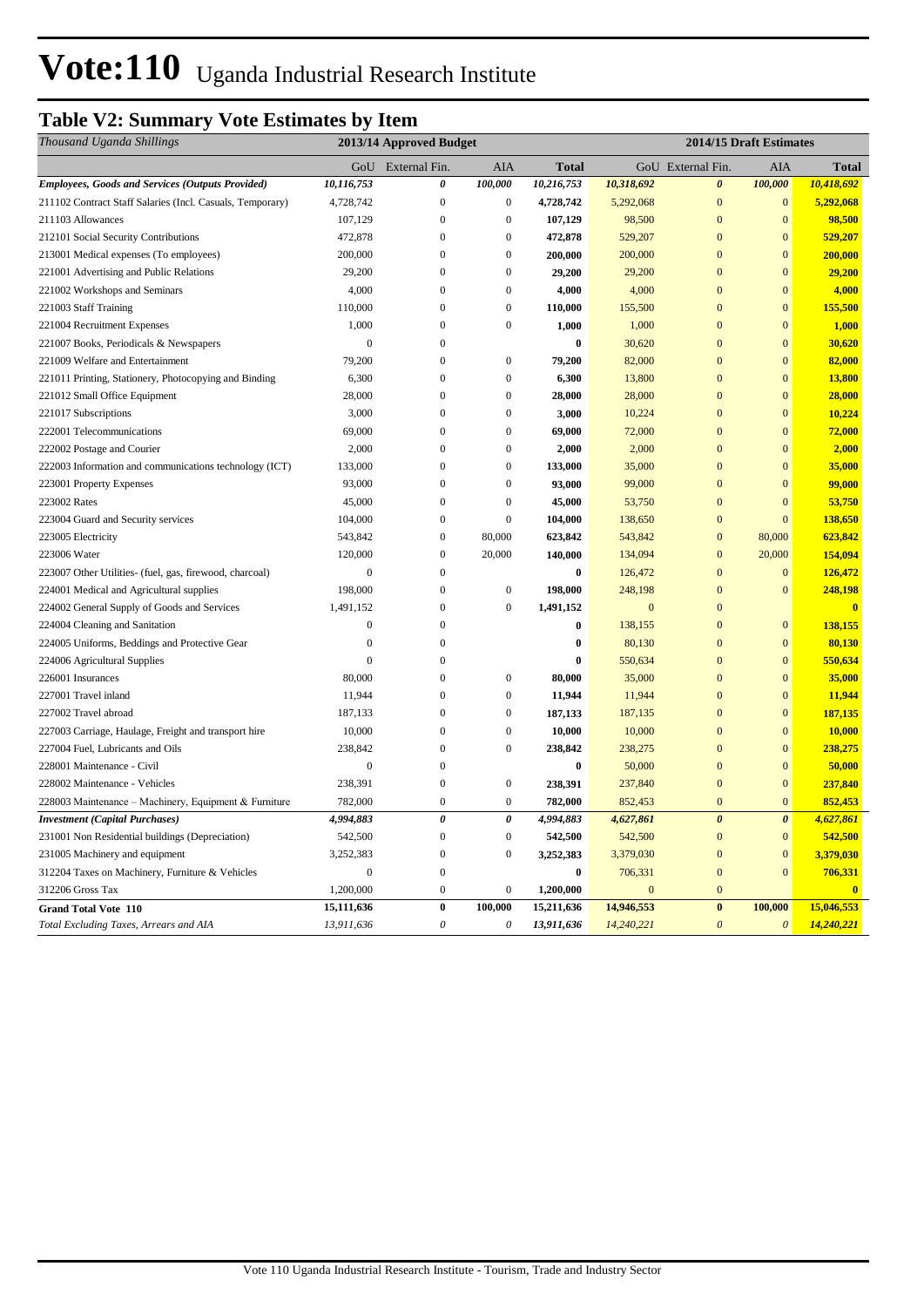# **Vote:110** Uganda Industrial Research Institute

# **Table V2: Summary Vote Estimates by Item**

| Thousand Uganda Shillings                                 |                | 2013/14 Approved Budget |                           |              |              | 2014/15 Draft Estimates |                       |              |
|-----------------------------------------------------------|----------------|-------------------------|---------------------------|--------------|--------------|-------------------------|-----------------------|--------------|
|                                                           |                | GoU External Fin.       | AIA                       | <b>Total</b> |              | GoU External Fin.       | AIA                   | <b>Total</b> |
| <b>Employees, Goods and Services (Outputs Provided)</b>   | 10,116,753     | 0                       | 100,000                   | 10,216,753   | 10,318,692   | $\boldsymbol{\theta}$   | 100,000               | 10,418,692   |
| 211102 Contract Staff Salaries (Incl. Casuals, Temporary) | 4,728,742      | $\overline{0}$          | $\boldsymbol{0}$          | 4,728,742    | 5,292,068    | $\overline{0}$          | $\mathbf{0}$          | 5,292,068    |
| 211103 Allowances                                         | 107,129        | $\boldsymbol{0}$        | $\boldsymbol{0}$          | 107,129      | 98,500       | $\mathbf{0}$            | $\boldsymbol{0}$      | 98,500       |
| 212101 Social Security Contributions                      | 472,878        | $\overline{0}$          | $\mathbf{0}$              | 472,878      | 529,207      | $\overline{0}$          | $\overline{0}$        | 529,207      |
| 213001 Medical expenses (To employees)                    | 200,000        | $\mathbf{0}$            | $\boldsymbol{0}$          | 200,000      | 200,000      | $\mathbf{0}$            | $\mathbf{0}$          | 200,000      |
| 221001 Advertising and Public Relations                   | 29,200         | $\mathbf{0}$            | $\boldsymbol{0}$          | 29,200       | 29,200       | $\mathbf{0}$            | $\mathbf{0}$          | 29,200       |
| 221002 Workshops and Seminars                             | 4,000          | $\boldsymbol{0}$        | $\boldsymbol{0}$          | 4,000        | 4,000        | $\overline{0}$          | $\mathbf{0}$          | 4,000        |
| 221003 Staff Training                                     | 110,000        | $\mathbf{0}$            | $\boldsymbol{0}$          | 110,000      | 155,500      | $\overline{0}$          | $\mathbf{0}$          | 155,500      |
| 221004 Recruitment Expenses                               | 1,000          | $\boldsymbol{0}$        | $\boldsymbol{0}$          | 1,000        | 1,000        | $\overline{0}$          | $\mathbf{0}$          | 1,000        |
| 221007 Books, Periodicals & Newspapers                    | $\overline{0}$ | $\mathbf{0}$            |                           | $\bf{0}$     | 30,620       | $\overline{0}$          | $\overline{0}$        | 30,620       |
| 221009 Welfare and Entertainment                          | 79,200         | $\overline{0}$          | $\boldsymbol{0}$          | 79,200       | 82,000       | $\overline{0}$          | $\mathbf{0}$          | 82,000       |
| 221011 Printing, Stationery, Photocopying and Binding     | 6,300          | $\mathbf{0}$            | $\boldsymbol{0}$          | 6,300        | 13,800       | $\mathbf{0}$            | $\mathbf{0}$          | 13,800       |
| 221012 Small Office Equipment                             | 28,000         | $\mathbf{0}$            | $\boldsymbol{0}$          | 28,000       | 28,000       | $\mathbf{0}$            | $\overline{0}$        | 28,000       |
| 221017 Subscriptions                                      | 3,000          | $\boldsymbol{0}$        | $\boldsymbol{0}$          | 3,000        | 10,224       | $\mathbf{0}$            | $\mathbf{0}$          | 10,224       |
| 222001 Telecommunications                                 | 69,000         | $\overline{0}$          | $\overline{0}$            | 69,000       | 72,000       | $\overline{0}$          | $\mathbf{0}$          | 72,000       |
| 222002 Postage and Courier                                | 2,000          | $\overline{0}$          | $\boldsymbol{0}$          | 2,000        | 2,000        | $\overline{0}$          | $\mathbf{0}$          | 2,000        |
| 222003 Information and communications technology (ICT)    | 133,000        | $\boldsymbol{0}$        | $\boldsymbol{0}$          | 133,000      | 35,000       | $\mathbf{0}$            | $\mathbf{0}$          | 35,000       |
| 223001 Property Expenses                                  | 93,000         | $\overline{0}$          | $\boldsymbol{0}$          | 93,000       | 99,000       | $\overline{0}$          | $\mathbf{0}$          | 99,000       |
| 223002 Rates                                              | 45,000         | $\overline{0}$          | $\overline{0}$            | 45,000       | 53,750       | $\overline{0}$          | $\overline{0}$        | 53,750       |
| 223004 Guard and Security services                        | 104,000        | $\overline{0}$          | $\boldsymbol{0}$          | 104,000      | 138,650      | $\overline{0}$          | $\overline{0}$        | 138,650      |
| 223005 Electricity                                        | 543,842        | $\mathbf{0}$            | 80,000                    | 623,842      | 543,842      | $\mathbf{0}$            | 80,000                | 623,842      |
| 223006 Water                                              | 120,000        | $\boldsymbol{0}$        | 20,000                    | 140,000      | 134,094      | $\mathbf{0}$            | 20,000                | 154,094      |
| 223007 Other Utilities- (fuel, gas, firewood, charcoal)   | $\mathbf{0}$   | $\boldsymbol{0}$        |                           | $\bf{0}$     | 126,472      | $\mathbf{0}$            | $\mathbf{0}$          | 126,472      |
| 224001 Medical and Agricultural supplies                  | 198,000        | $\boldsymbol{0}$        | $\boldsymbol{0}$          | 198,000      | 248,198      | $\overline{0}$          | $\mathbf{0}$          | 248,198      |
| 224002 General Supply of Goods and Services               | 1,491,152      | $\mathbf{0}$            | $\boldsymbol{0}$          | 1,491,152    | $\mathbf{0}$ | $\mathbf{0}$            |                       | $\bf{0}$     |
| 224004 Cleaning and Sanitation                            | $\overline{0}$ | $\overline{0}$          |                           | $\bf{0}$     | 138,155      | $\overline{0}$          | $\mathbf{0}$          | 138,155      |
| 224005 Uniforms, Beddings and Protective Gear             | $\overline{0}$ | $\theta$                |                           | $\bf{0}$     | 80,130       | $\overline{0}$          | $\mathbf{0}$          | 80,130       |
| 224006 Agricultural Supplies                              | $\mathbf{0}$   | $\mathbf{0}$            |                           | 0            | 550,634      | $\overline{0}$          | $\mathbf{0}$          | 550,634      |
| 226001 Insurances                                         | 80,000         | $\boldsymbol{0}$        | $\boldsymbol{0}$          | 80,000       | 35,000       | $\mathbf{0}$            | $\mathbf{0}$          | 35,000       |
| 227001 Travel inland                                      | 11,944         | $\boldsymbol{0}$        | $\boldsymbol{0}$          | 11,944       | 11,944       | $\overline{0}$          | $\mathbf{0}$          | 11,944       |
| 227002 Travel abroad                                      | 187,133        | $\boldsymbol{0}$        | $\boldsymbol{0}$          | 187,133      | 187,135      | $\mathbf{0}$            | $\mathbf{0}$          | 187,135      |
| 227003 Carriage, Haulage, Freight and transport hire      | 10,000         | $\mathbf{0}$            | $\boldsymbol{0}$          | 10,000       | 10,000       | $\overline{0}$          | $\mathbf{0}$          | 10,000       |
| 227004 Fuel, Lubricants and Oils                          | 238,842        | $\boldsymbol{0}$        | $\boldsymbol{0}$          | 238,842      | 238,275      | $\mathbf{0}$            | $\mathbf{0}$          | 238,275      |
| 228001 Maintenance - Civil                                | $\overline{0}$ | $\overline{0}$          |                           | $\bf{0}$     | 50,000       | $\overline{0}$          | $\overline{0}$        | 50,000       |
| 228002 Maintenance - Vehicles                             | 238,391        | $\mathbf{0}$            | $\boldsymbol{0}$          | 238,391      | 237,840      | $\overline{0}$          | $\mathbf{0}$          | 237,840      |
| 228003 Maintenance – Machinery, Equipment & Furniture     | 782,000        | $\boldsymbol{0}$        | $\boldsymbol{0}$          | 782,000      | 852,453      | $\overline{0}$          | $\mathbf{0}$          | 852,453      |
| <b>Investment</b> (Capital Purchases)                     | 4,994,883      | $\pmb{\theta}$          | $\pmb{\theta}$            | 4,994,883    | 4,627,861    | $\boldsymbol{\theta}$   | $\boldsymbol{\theta}$ | 4,627,861    |
| 231001 Non Residential buildings (Depreciation)           | 542,500        | $\boldsymbol{0}$        | $\boldsymbol{0}$          | 542,500      | 542,500      | $\mathbf{0}$            | $\boldsymbol{0}$      | 542,500      |
| 231005 Machinery and equipment                            | 3,252,383      | $\boldsymbol{0}$        | $\boldsymbol{0}$          | 3,252,383    | 3,379,030    | $\mathbf{0}$            | $\mathbf{0}$          | 3,379,030    |
| 312204 Taxes on Machinery, Furniture & Vehicles           | $\mathbf{0}$   | $\boldsymbol{0}$        |                           | $\bf{0}$     | 706,331      | $\mathbf{0}$            | $\overline{0}$        | 706,331      |
| 312206 Gross Tax                                          | 1,200,000      | $\boldsymbol{0}$        | $\boldsymbol{0}$          | 1,200,000    | $\mathbf{0}$ | $\mathbf{0}$            |                       | $\bf{0}$     |
| <b>Grand Total Vote 110</b>                               | 15,111,636     | $\bf{0}$                | 100,000                   | 15,211,636   | 14,946,553   | $\bf{0}$                | 100,000               | 15,046,553   |
| Total Excluding Taxes, Arrears and AIA                    | 13,911,636     | $\theta$                | $\boldsymbol{\mathit{0}}$ | 13,911,636   | 14,240,221   | $\boldsymbol{\theta}$   | $\boldsymbol{\theta}$ | 14,240,221   |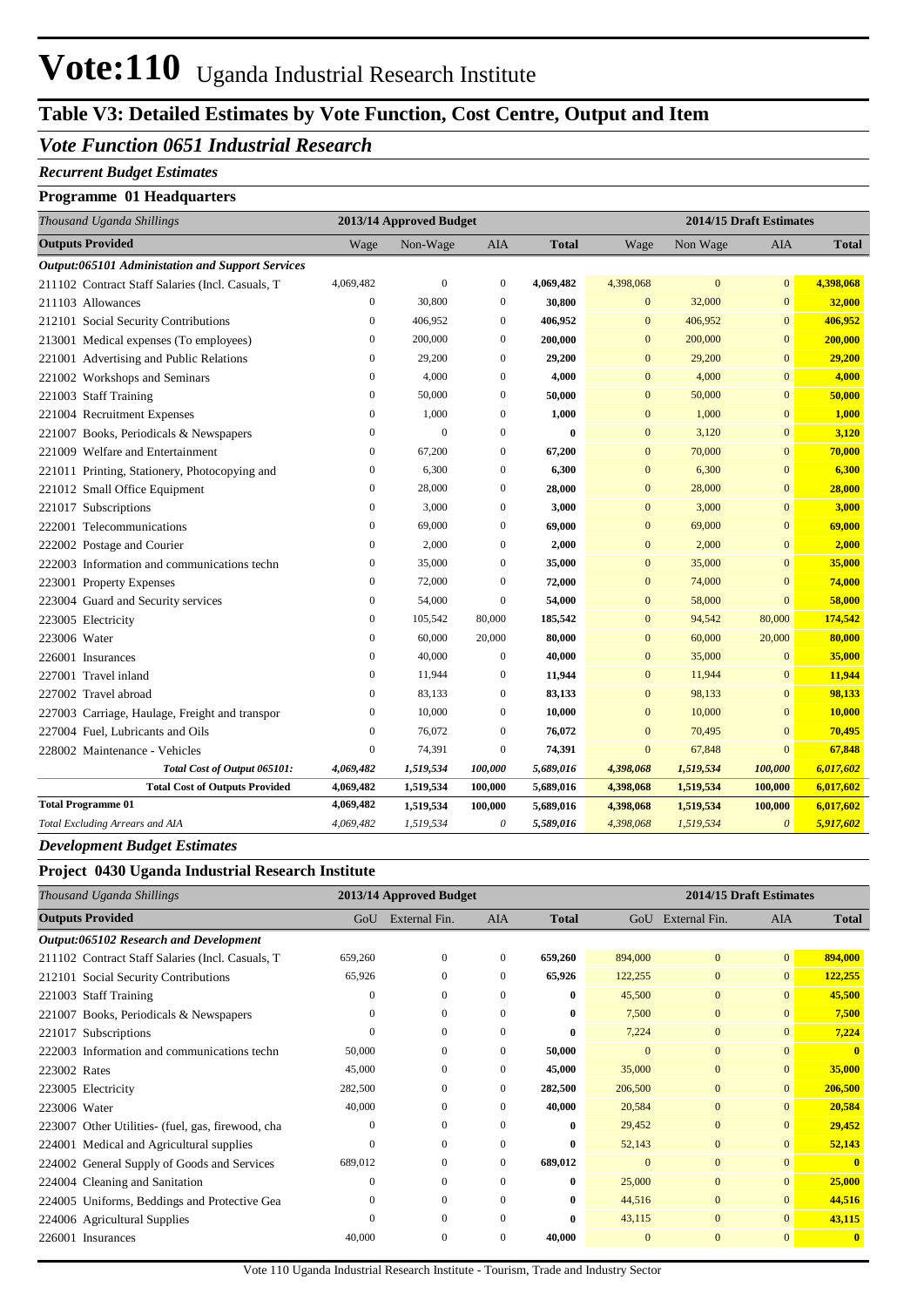# **Vote:110** Uganda Industrial Research Institute

## **Table V3: Detailed Estimates by Vote Function, Cost Centre, Output and Item**

### *Vote Function 0651 Industrial Research*

#### *Recurrent Budget Estimates*

### **Programme 01 Headquarters**

| Thousand Uganda Shillings                        |                  | 2013/14 Approved Budget |                  |              | 2014/15 Draft Estimates |              |                       |              |
|--------------------------------------------------|------------------|-------------------------|------------------|--------------|-------------------------|--------------|-----------------------|--------------|
| <b>Outputs Provided</b>                          | Wage             | Non-Wage                | <b>AIA</b>       | <b>Total</b> | Wage                    | Non Wage     | AIA                   | <b>Total</b> |
| Output:065101 Administation and Support Services |                  |                         |                  |              |                         |              |                       |              |
| 211102 Contract Staff Salaries (Incl. Casuals, T | 4,069,482        | $\overline{0}$          | $\mathbf{0}$     | 4,069,482    | 4,398,068               | $\mathbf{0}$ | $\overline{0}$        | 4,398,068    |
| 211103 Allowances                                | $\boldsymbol{0}$ | 30,800                  | $\boldsymbol{0}$ | 30,800       | $\mathbf{0}$            | 32,000       | $\mathbf{0}$          | 32,000       |
| 212101 Social Security Contributions             | $\mathbf{0}$     | 406,952                 | $\theta$         | 406,952      | $\overline{0}$          | 406,952      | $\overline{0}$        | 406,952      |
| 213001 Medical expenses (To employees)           | $\mathbf{0}$     | 200,000                 | $\mathbf{0}$     | 200,000      | $\mathbf{0}$            | 200,000      | $\overline{0}$        | 200,000      |
| 221001 Advertising and Public Relations          | $\mathbf{0}$     | 29,200                  | $\mathbf{0}$     | 29,200       | $\mathbf{0}$            | 29,200       | $\overline{0}$        | 29,200       |
| 221002 Workshops and Seminars                    | $\boldsymbol{0}$ | 4,000                   | $\mathbf{0}$     | 4,000        | $\mathbf{0}$            | 4,000        | $\overline{0}$        | 4,000        |
| 221003 Staff Training                            | $\boldsymbol{0}$ | 50,000                  | $\boldsymbol{0}$ | 50,000       | $\mathbf{0}$            | 50,000       | $\mathbf{0}$          | 50,000       |
| 221004 Recruitment Expenses                      | $\boldsymbol{0}$ | 1,000                   | $\mathbf{0}$     | 1,000        | $\mathbf{0}$            | 1,000        | $\overline{0}$        | 1,000        |
| 221007 Books, Periodicals & Newspapers           | $\boldsymbol{0}$ | $\overline{0}$          | $\mathbf{0}$     | $\bf{0}$     | $\mathbf{0}$            | 3,120        | $\overline{0}$        | 3,120        |
| 221009 Welfare and Entertainment                 | $\boldsymbol{0}$ | 67,200                  | $\mathbf{0}$     | 67,200       | $\overline{0}$          | 70,000       | $\overline{0}$        | 70,000       |
| 221011 Printing, Stationery, Photocopying and    | $\boldsymbol{0}$ | 6,300                   | 0                | 6,300        | $\bf{0}$                | 6,300        | $\overline{0}$        | 6,300        |
| 221012 Small Office Equipment                    | $\boldsymbol{0}$ | 28,000                  | $\mathbf{0}$     | 28,000       | $\overline{0}$          | 28,000       | $\overline{0}$        | 28,000       |
| 221017 Subscriptions                             | $\mathbf{0}$     | 3,000                   | $\mathbf{0}$     | 3,000        | $\mathbf{0}$            | 3,000        | $\mathbf{0}$          | 3,000        |
| 222001 Telecommunications                        | $\boldsymbol{0}$ | 69,000                  | $\mathbf{0}$     | 69,000       | $\mathbf{0}$            | 69,000       | $\overline{0}$        | 69,000       |
| 222002 Postage and Courier                       | $\mathbf{0}$     | 2,000                   | $\mathbf{0}$     | 2,000        | $\mathbf{0}$            | 2,000        | $\overline{0}$        | 2,000        |
| 222003 Information and communications techn      | $\boldsymbol{0}$ | 35,000                  | $\mathbf{0}$     | 35,000       | $\overline{0}$          | 35,000       | $\overline{0}$        | 35,000       |
| 223001 Property Expenses                         | $\mathbf{0}$     | 72,000                  | $\mathbf{0}$     | 72,000       | $\overline{0}$          | 74,000       | $\mathbf{0}$          | 74,000       |
| 223004 Guard and Security services               | $\mathbf{0}$     | 54,000                  | $\mathbf{0}$     | 54,000       | $\overline{0}$          | 58,000       | $\overline{0}$        | 58,000       |
| 223005 Electricity                               | $\mathbf{0}$     | 105,542                 | 80,000           | 185,542      | $\mathbf{0}$            | 94,542       | 80,000                | 174,542      |
| 223006 Water                                     | $\overline{0}$   | 60,000                  | 20,000           | 80,000       | $\overline{0}$          | 60,000       | 20,000                | 80,000       |
| 226001 Insurances                                | $\boldsymbol{0}$ | 40,000                  | $\boldsymbol{0}$ | 40,000       | $\overline{0}$          | 35,000       | $\mathbf{0}$          | 35,000       |
| 227001 Travel inland                             | $\boldsymbol{0}$ | 11,944                  | 0                | 11,944       | $\bf{0}$                | 11,944       | $\bf{0}$              | 11,944       |
| 227002 Travel abroad                             | 0                | 83,133                  | 0                | 83,133       | $\bf{0}$                | 98,133       | $\overline{0}$        | 98,133       |
| 227003 Carriage, Haulage, Freight and transpor   | $\mathbf{0}$     | 10,000                  | $\mathbf{0}$     | 10,000       | $\mathbf{0}$            | 10,000       | $\mathbf{0}$          | 10,000       |
| 227004 Fuel, Lubricants and Oils                 | $\boldsymbol{0}$ | 76,072                  | $\boldsymbol{0}$ | 76,072       | $\mathbf{0}$            | 70,495       | $\mathbf{0}$          | 70,495       |
| 228002 Maintenance - Vehicles                    | $\boldsymbol{0}$ | 74,391                  | $\boldsymbol{0}$ | 74,391       | $\mathbf{0}$            | 67,848       | $\mathbf{0}$          | 67,848       |
| Total Cost of Output 065101:                     | 4,069,482        | 1,519,534               | 100,000          | 5,689,016    | 4,398,068               | 1,519,534    | 100,000               | 6,017,602    |
| <b>Total Cost of Outputs Provided</b>            | 4,069,482        | 1,519,534               | 100,000          | 5,689,016    | 4,398,068               | 1,519,534    | 100,000               | 6,017,602    |
| <b>Total Programme 01</b>                        | 4,069,482        | 1,519,534               | 100,000          | 5,689,016    | 4,398,068               | 1,519,534    | 100,000               | 6,017,602    |
| Total Excluding Arrears and AIA                  | 4,069,482        | 1,519,534               | 0                | 5,589,016    | 4,398,068               | 1,519,534    | $\boldsymbol{\theta}$ | 5,917,602    |

#### *Development Budget Estimates*

#### **Project 0430 Uganda Industrial Research Institute**

| Thousand Uganda Shillings                         |              | 2013/14 Approved Budget |              |              | 2014/15 Draft Estimates |                |                |              |
|---------------------------------------------------|--------------|-------------------------|--------------|--------------|-------------------------|----------------|----------------|--------------|
| <b>Outputs Provided</b>                           | GoU          | External Fin.           | <b>AIA</b>   | <b>Total</b> | GoU                     | External Fin.  | <b>AIA</b>     | <b>Total</b> |
| Output:065102 Research and Development            |              |                         |              |              |                         |                |                |              |
| 211102 Contract Staff Salaries (Incl. Casuals, T  | 659,260      | $\overline{0}$          | $\theta$     | 659,260      | 894,000                 | $\overline{0}$ | $\overline{0}$ | 894,000      |
| 212101 Social Security Contributions              | 65,926       | $\mathbf{0}$            | $\theta$     | 65,926       | 122,255                 | $\mathbf{0}$   | $\mathbf{0}$   | 122,255      |
| 221003 Staff Training                             | $\Omega$     | $\Omega$                | $\theta$     | $\mathbf{0}$ | 45,500                  | $\mathbf{0}$   | $\mathbf{0}$   | 45,500       |
| 221007 Books, Periodicals & Newspapers            | $\mathbf{0}$ | $\Omega$                | $\Omega$     | $\bf{0}$     | 7,500                   | $\mathbf{0}$   | $\mathbf{0}$   | 7,500        |
| 221017 Subscriptions                              | $\Omega$     | $\Omega$                | $\Omega$     | $\bf{0}$     | 7,224                   | $\overline{0}$ | $\overline{0}$ | 7,224        |
| 222003 Information and communications techn       | 50,000       | $\mathbf{0}$            | $\mathbf{0}$ | 50,000       | $\mathbf{0}$            | $\overline{0}$ | $\overline{0}$ | $\mathbf{0}$ |
| 223002 Rates                                      | 45,000       | $\theta$                | $\theta$     | 45,000       | 35,000                  | $\mathbf{0}$   | $\mathbf{0}$   | 35,000       |
| 223005 Electricity                                | 282,500      | $\Omega$                | 0            | 282,500      | 206,500                 | $\mathbf{0}$   | $\mathbf{0}$   | 206,500      |
| 223006 Water                                      | 40,000       | $\Omega$                | $\Omega$     | 40,000       | 20,584                  | $\mathbf{0}$   | $\Omega$       | 20,584       |
| 223007 Other Utilities- (fuel, gas, firewood, cha | $\Omega$     | $\Omega$                | $\Omega$     | $\bf{0}$     | 29,452                  | $\overline{0}$ | $\overline{0}$ | 29,452       |
| 224001 Medical and Agricultural supplies          | $\theta$     | $\Omega$                | $\mathbf{0}$ | $\bf{0}$     | 52,143                  | $\overline{0}$ | $\overline{0}$ | 52,143       |
| 224002 General Supply of Goods and Services       | 689,012      | $\mathbf{0}$            | $\theta$     | 689,012      | $\mathbf{0}$            | $\overline{0}$ | $\overline{0}$ | $\mathbf{0}$ |
| 224004 Cleaning and Sanitation                    | $\theta$     | $\mathbf{0}$            | $\mathbf{0}$ | $\bf{0}$     | 25,000                  | $\mathbf{0}$   | $\mathbf{0}$   | 25,000       |
| 224005 Uniforms, Beddings and Protective Gea      | $\mathbf{0}$ | $\overline{0}$          | $\mathbf{0}$ | $\bf{0}$     | 44,516                  | $\mathbf{0}$   | $\mathbf{0}$   | 44,516       |
| 224006 Agricultural Supplies                      | $\Omega$     | $\Omega$                | $\mathbf{0}$ | $\mathbf{0}$ | 43,115                  | $\overline{0}$ | $\mathbf{0}$   | 43,115       |
| 226001 Insurances                                 | 40,000       | $\mathbf{0}$            | $\mathbf{0}$ | 40,000       | $\overline{0}$          | $\overline{0}$ | $\mathbf{0}$   | $\mathbf{0}$ |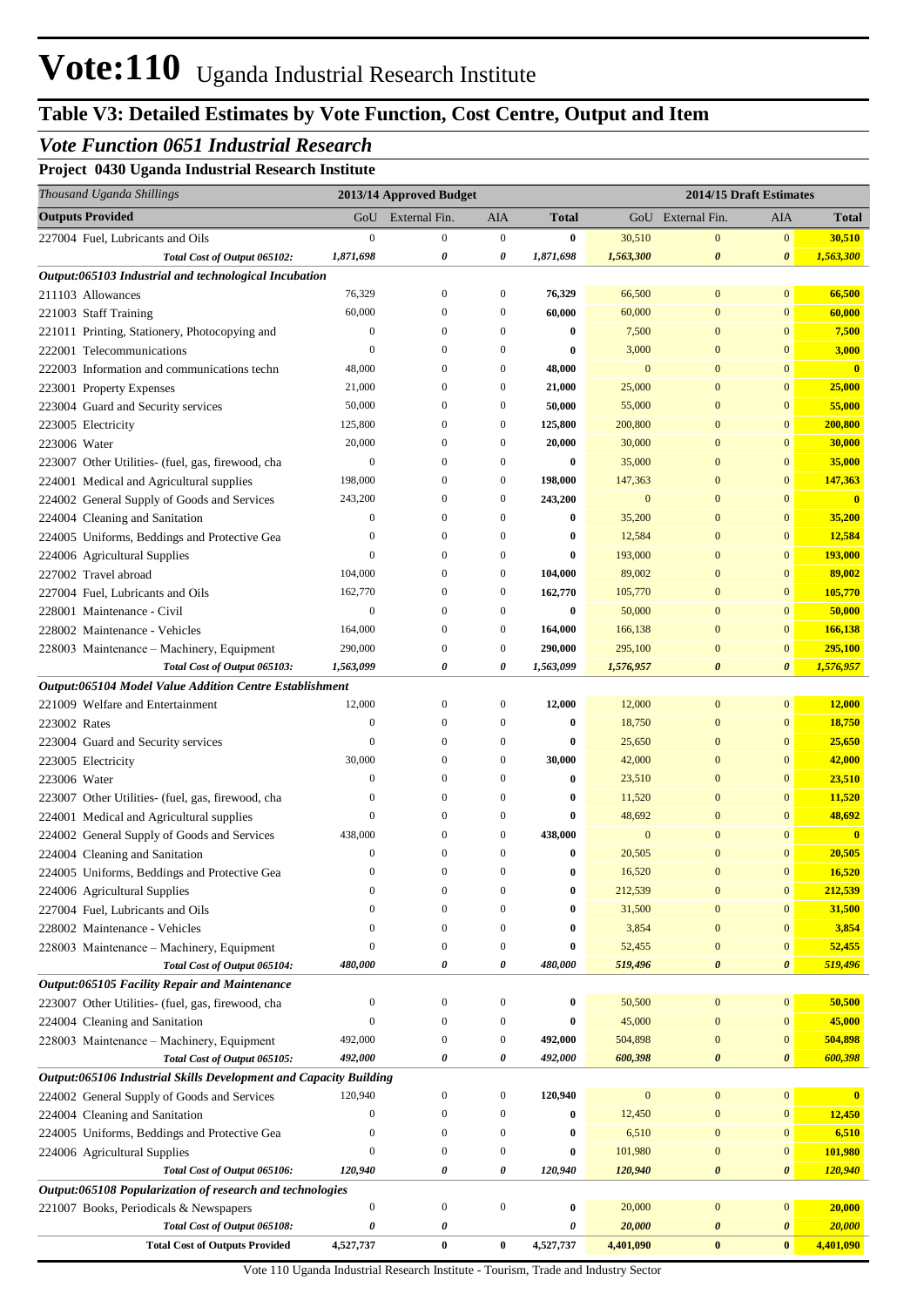# **Vote:110** Uganda Industrial Research Institute

## **Table V3: Detailed Estimates by Vote Function, Cost Centre, Output and Item**

### *Vote Function 0651 Industrial Research*

**Project 0430 Uganda Industrial Research Institute**

|              | Thousand Uganda Shillings                                         |                  | 2013/14 Approved Budget |                  |              |              | 2014/15 Draft Estimates |                       |                         |
|--------------|-------------------------------------------------------------------|------------------|-------------------------|------------------|--------------|--------------|-------------------------|-----------------------|-------------------------|
|              | <b>Outputs Provided</b>                                           | GoU              | External Fin.           | AIA              | <b>Total</b> |              | GoU External Fin.       | AIA                   | <b>Total</b>            |
|              | 227004 Fuel, Lubricants and Oils                                  | $\mathbf{0}$     | $\mathbf{0}$            | $\boldsymbol{0}$ | $\bf{0}$     | 30,510       | $\mathbf{0}$            | $\mathbf{0}$          | 30,510                  |
|              | Total Cost of Output 065102:                                      | 1,871,698        | 0                       | 0                | 1,871,698    | 1,563,300    | $\boldsymbol{\theta}$   | $\boldsymbol{\theta}$ | 1,563,300               |
|              | Output:065103 Industrial and technological Incubation             |                  |                         |                  |              |              |                         |                       |                         |
|              | 211103 Allowances                                                 | 76,329           | $\boldsymbol{0}$        | $\boldsymbol{0}$ | 76,329       | 66,500       | $\bf{0}$                | $\mathbf{0}$          | 66,500                  |
|              | 221003 Staff Training                                             | 60,000           | $\mathbf{0}$            | $\boldsymbol{0}$ | 60,000       | 60,000       | $\overline{0}$          | $\mathbf{0}$          | 60,000                  |
|              | 221011 Printing, Stationery, Photocopying and                     | $\boldsymbol{0}$ | $\mathbf{0}$            | $\mathbf{0}$     | $\bf{0}$     | 7,500        | $\mathbf{0}$            | $\mathbf{0}$          | 7,500                   |
|              | 222001 Telecommunications                                         | $\mathbf{0}$     | $\mathbf{0}$            | $\mathbf{0}$     | 0            | 3,000        | $\mathbf{0}$            | $\mathbf{0}$          | 3,000                   |
|              | 222003 Information and communications techn                       | 48,000           | $\mathbf{0}$            | $\boldsymbol{0}$ | 48,000       | $\mathbf{0}$ | $\overline{0}$          | $\mathbf{0}$          | $\overline{\mathbf{0}}$ |
|              | 223001 Property Expenses                                          | 21,000           | $\mathbf{0}$            | $\mathbf{0}$     | 21,000       | 25,000       | $\overline{0}$          | $\mathbf{0}$          | 25,000                  |
|              | 223004 Guard and Security services                                | 50,000           | $\mathbf{0}$            | $\mathbf{0}$     | 50,000       | 55,000       | $\mathbf{0}$            | $\mathbf{0}$          | 55,000                  |
|              | 223005 Electricity                                                | 125,800          | $\mathbf{0}$            | $\boldsymbol{0}$ | 125,800      | 200,800      | $\overline{0}$          | $\mathbf{0}$          | 200,800                 |
| 223006 Water |                                                                   | 20,000           | $\mathbf{0}$            | $\mathbf{0}$     | 20,000       | 30,000       | $\overline{0}$          | $\mathbf{0}$          | 30,000                  |
|              | 223007 Other Utilities- (fuel, gas, firewood, cha                 | $\boldsymbol{0}$ | $\mathbf{0}$            | $\mathbf{0}$     | 0            | 35,000       | $\overline{0}$          | $\mathbf{0}$          | 35,000                  |
|              | 224001 Medical and Agricultural supplies                          | 198,000          | $\mathbf{0}$            | $\boldsymbol{0}$ | 198,000      | 147,363      | $\mathbf{0}$            | $\mathbf{0}$          | 147,363                 |
|              | 224002 General Supply of Goods and Services                       | 243,200          | $\mathbf{0}$            | $\boldsymbol{0}$ | 243,200      | $\mathbf{0}$ | $\overline{0}$          | $\mathbf{0}$          | $\overline{\mathbf{0}}$ |
|              | 224004 Cleaning and Sanitation                                    | $\boldsymbol{0}$ | $\mathbf{0}$            | $\mathbf{0}$     | $\bf{0}$     | 35,200       | $\mathbf{0}$            | $\mathbf{0}$          | 35,200                  |
|              | 224005 Uniforms, Beddings and Protective Gea                      | $\mathbf{0}$     | $\mathbf{0}$            | $\mathbf{0}$     | 0            | 12,584       | $\bf{0}$                | $\mathbf{0}$          | 12,584                  |
|              | 224006 Agricultural Supplies                                      | $\overline{0}$   | $\mathbf{0}$            | $\mathbf{0}$     | 0            | 193,000      | $\bf{0}$                | $\mathbf{0}$          | 193,000                 |
|              | 227002 Travel abroad                                              | 104,000          | $\mathbf{0}$            | $\boldsymbol{0}$ | 104,000      | 89,002       | $\overline{0}$          | $\mathbf{0}$          | 89,002                  |
|              | 227004 Fuel, Lubricants and Oils                                  | 162,770          | $\mathbf{0}$            | $\boldsymbol{0}$ | 162,770      | 105,770      | $\overline{0}$          | $\mathbf{0}$          | 105,770                 |
|              | 228001 Maintenance - Civil                                        | $\boldsymbol{0}$ | $\mathbf{0}$            | $\boldsymbol{0}$ | 0            | 50,000       | $\mathbf{0}$            | $\mathbf{0}$          | 50,000                  |
|              | 228002 Maintenance - Vehicles                                     | 164,000          | $\mathbf{0}$            | $\boldsymbol{0}$ | 164,000      | 166,138      | $\overline{0}$          | $\mathbf{0}$          | 166,138                 |
|              | 228003 Maintenance - Machinery, Equipment                         | 290,000          | $\mathbf{0}$            | $\mathbf{0}$     | 290,000      | 295,100      | $\overline{0}$          | $\mathbf{0}$          | 295,100                 |
|              | Total Cost of Output 065103:                                      | 1,563,099        | 0                       | 0                | 1,563,099    | 1,576,957    | $\boldsymbol{\theta}$   | $\boldsymbol{\theta}$ | 1,576,957               |
|              | Output:065104 Model Value Addition Centre Establishment           |                  |                         |                  |              |              |                         |                       |                         |
|              | 221009 Welfare and Entertainment                                  | 12,000           | $\boldsymbol{0}$        | $\boldsymbol{0}$ | 12,000       | 12,000       | $\bf{0}$                | $\mathbf{0}$          | 12,000                  |
| 223002 Rates |                                                                   | $\mathbf{0}$     | $\mathbf{0}$            | $\boldsymbol{0}$ | $\bf{0}$     | 18,750       | $\mathbf{0}$            | $\mathbf{0}$          | 18,750                  |
|              | 223004 Guard and Security services                                | $\mathbf{0}$     | $\mathbf{0}$            | $\boldsymbol{0}$ | $\bf{0}$     | 25,650       | $\boldsymbol{0}$        | $\mathbf{0}$          | 25,650                  |
|              | 223005 Electricity                                                | 30,000           | $\mathbf{0}$            | $\boldsymbol{0}$ | 30,000       | 42,000       | $\bf{0}$                | $\mathbf{0}$          | 42,000                  |
| 223006 Water |                                                                   | $\mathbf{0}$     | $\mathbf{0}$            | $\mathbf{0}$     | $\bf{0}$     | 23,510       | $\bf{0}$                | $\mathbf{0}$          | 23,510                  |
|              | 223007 Other Utilities- (fuel, gas, firewood, cha                 | $\mathbf{0}$     | $\mathbf{0}$            | $\mathbf{0}$     | 0            | 11,520       | $\overline{0}$          | $\mathbf{0}$          | 11,520                  |
|              | 224001 Medical and Agricultural supplies                          | $\mathbf{0}$     | $\mathbf{0}$            | $\mathbf{0}$     | $\bf{0}$     | 48,692       | $\overline{0}$          | $\mathbf{0}$          | 48,692                  |
|              | 224002 General Supply of Goods and Services                       | 438,000          | $\mathbf{0}$            | $\boldsymbol{0}$ | 438,000      | $\mathbf{0}$ | $\overline{0}$          | $\overline{0}$        | $\overline{\mathbf{0}}$ |
|              | 224004 Cleaning and Sanitation                                    | $\boldsymbol{0}$ | $\mathbf{0}$            | $\boldsymbol{0}$ | $\bf{0}$     | 20,505       | $\mathbf{0}$            | $\mathbf{0}$          | 20,505                  |
|              | 224005 Uniforms, Beddings and Protective Gea                      | $\Omega$         | $\Omega$                | $\Omega$         | 0            | 16,520       | $\Omega$                | $\Omega$              | 16,520                  |
|              | 224006 Agricultural Supplies                                      | $\boldsymbol{0}$ | $\boldsymbol{0}$        | $\boldsymbol{0}$ | $\bf{0}$     | 212,539      | $\bf{0}$                | $\mathbf{0}$          | 212,539                 |
|              | 227004 Fuel, Lubricants and Oils                                  | $\mathbf{0}$     | $\boldsymbol{0}$        | $\boldsymbol{0}$ | 0            | 31,500       | $\bf{0}$                | $\mathbf{0}$          | 31,500                  |
|              | 228002 Maintenance - Vehicles                                     | $\mathbf{0}$     | $\boldsymbol{0}$        | $\boldsymbol{0}$ | 0            | 3,854        | $\mathbf{0}$            | $\mathbf{0}$          | 3,854                   |
|              | 228003 Maintenance - Machinery, Equipment                         | $\theta$         | $\boldsymbol{0}$        | $\boldsymbol{0}$ | $\bf{0}$     | 52,455       | $\bf{0}$                | $\mathbf{0}$          | 52,455                  |
|              | Total Cost of Output 065104:                                      | 480,000          | 0                       | 0                | 480,000      | 519,496      | $\pmb{\theta}$          | $\boldsymbol{\theta}$ | 519,496                 |
|              | Output:065105 Facility Repair and Maintenance                     |                  |                         |                  |              |              |                         |                       |                         |
|              | 223007 Other Utilities- (fuel, gas, firewood, cha                 | $\boldsymbol{0}$ | $\mathbf{0}$            | $\boldsymbol{0}$ | 0            | 50,500       | $\boldsymbol{0}$        | $\mathbf{0}$          | 50,500                  |
|              | 224004 Cleaning and Sanitation                                    | $\theta$         | $\boldsymbol{0}$        | $\boldsymbol{0}$ | 0            | 45,000       | $\bf{0}$                | $\mathbf{0}$          | 45,000                  |
|              | 228003 Maintenance - Machinery, Equipment                         | 492,000          | $\boldsymbol{0}$        | $\boldsymbol{0}$ | 492,000      | 504,898      | $\bf{0}$                | $\mathbf{0}$          | 504,898                 |
|              | Total Cost of Output 065105:                                      | 492,000          | 0                       | 0                | 492,000      | 600,398      | $\pmb{\theta}$          | $\boldsymbol{\theta}$ | 600,398                 |
|              | Output:065106 Industrial Skills Development and Capacity Building |                  |                         |                  |              |              |                         |                       |                         |
|              | 224002 General Supply of Goods and Services                       | 120,940          | $\boldsymbol{0}$        | $\boldsymbol{0}$ | 120,940      | $\mathbf{0}$ | $\bf{0}$                | $\mathbf{0}$          | $\bf{0}$                |
|              | 224004 Cleaning and Sanitation                                    | $\boldsymbol{0}$ | $\mathbf{0}$            | $\boldsymbol{0}$ | 0            | 12,450       | $\bf{0}$                | $\mathbf{0}$          | 12,450                  |
|              | 224005 Uniforms, Beddings and Protective Gea                      | $\boldsymbol{0}$ | $\mathbf{0}$            | $\boldsymbol{0}$ | 0            | 6,510        | $\bf{0}$                | $\mathbf{0}$          | 6,510                   |
|              | 224006 Agricultural Supplies                                      | $\theta$         | $\boldsymbol{0}$        | $\boldsymbol{0}$ | 0            | 101,980      | $\bf{0}$                | $\mathbf{0}$          | 101,980                 |
|              | Total Cost of Output 065106:                                      | 120,940          | $\pmb{\theta}$          | $\pmb{\theta}$   | 120,940      | 120,940      | $\pmb{\theta}$          | $\boldsymbol{\theta}$ | 120,940                 |
|              | Output:065108 Popularization of research and technologies         |                  |                         |                  |              |              |                         |                       |                         |
|              | 221007 Books, Periodicals & Newspapers                            | $\boldsymbol{0}$ | $\boldsymbol{0}$        | $\boldsymbol{0}$ | $\bf{0}$     | 20,000       | $\boldsymbol{0}$        | $\mathbf{0}$          | 20,000                  |
|              | Total Cost of Output 065108:                                      | 0                | 0                       |                  | 0            | 20,000       | 0                       | $\boldsymbol{\theta}$ | 20,000                  |
|              | <b>Total Cost of Outputs Provided</b>                             | 4,527,737        | $\pmb{0}$               | $\bf{0}$         | 4,527,737    | 4,401,090    | $\bf{0}$                | $\bf{0}$              | 4,401,090               |

Vote 110 Uganda Industrial Research Institute - Tourism, Trade and Industry Sector